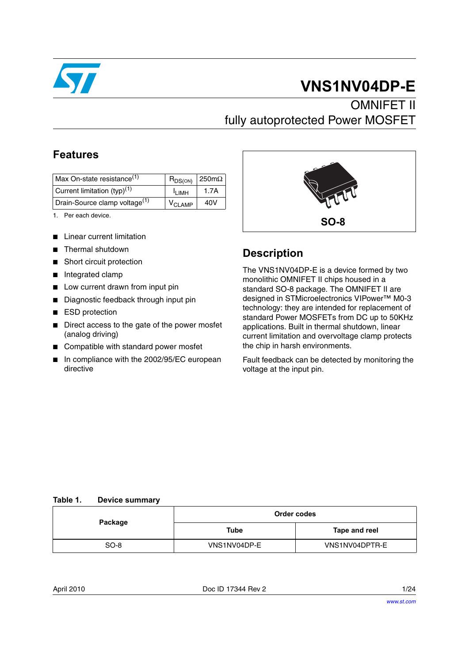

# **VNS1NV04DP-E**

# **OMNIFET II** fully autoprotected Power MOSFET

## **Features**

| Max On-state resistance <sup>(1)</sup>    | $R_{DS(ON)}$             | $250 \text{m}\Omega$ |
|-------------------------------------------|--------------------------|----------------------|
| Current limitation $(typ)^{(1)}$          | <sup>I</sup> I IMH       | 1.7A                 |
| Drain-Source clamp voltage <sup>(1)</sup> | $\rm V_{C1 \text{ AMP}}$ | 40V                  |

1. Per each device.

- Linear current limitation
- Thermal shutdown
- Short circuit protection
- Integrated clamp
- Low current drawn from input pin
- Diagnostic feedback through input pin
- ESD protection
- Direct access to the gate of the power mosfet (analog driving)
- Compatible with standard power mosfet
- In compliance with the 2002/95/EC european directive



## **Description**

The VNS1NV04DP-E is a device formed by two monolithic OMNIFET II chips housed in a standard SO-8 package. The OMNIFET II are designed in STMicroelectronics VIPower™ M0-3 technology: they are intended for replacement of standard Power MOSFETs from DC up to 50KHz applications. Built in thermal shutdown, linear current limitation and overvoltage clamp protects the chip in harsh environments.

Fault feedback can be detected by monitoring the voltage at the input pin.

#### <span id="page-0-0"></span>**Table 1. Device summary**

| Package | Order codes  |                |  |
|---------|--------------|----------------|--|
|         | Tube         | Tape and reel  |  |
| $SO-8$  | VNS1NV04DP-E | VNS1NV04DPTR-E |  |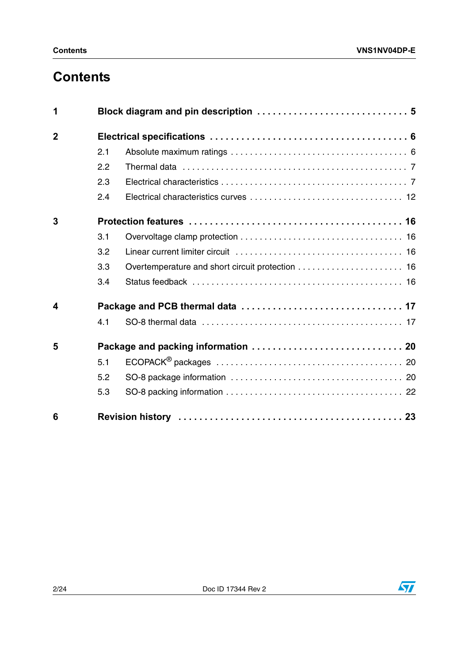# **Contents**

| 1                       |     |  |
|-------------------------|-----|--|
| $\overline{2}$          |     |  |
|                         | 2.1 |  |
|                         | 2.2 |  |
|                         | 2.3 |  |
|                         | 2.4 |  |
| 3                       |     |  |
|                         | 3.1 |  |
|                         | 3.2 |  |
|                         | 3.3 |  |
|                         | 3.4 |  |
| $\overline{\mathbf{4}}$ |     |  |
|                         | 4.1 |  |
| 5                       |     |  |
|                         | 5.1 |  |
|                         | 5.2 |  |
|                         | 5.3 |  |
| 6                       |     |  |

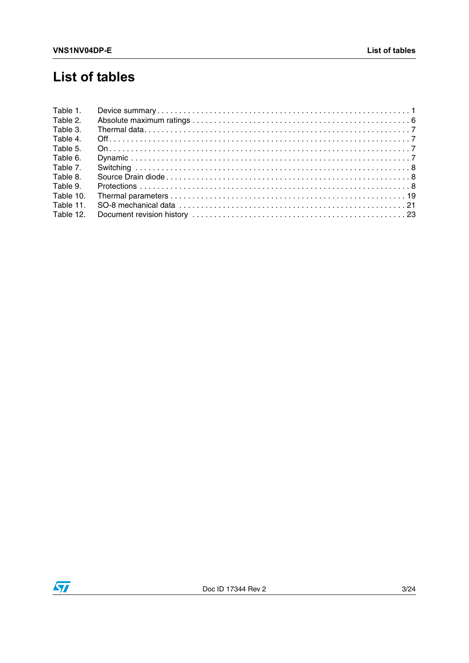# **List of tables**

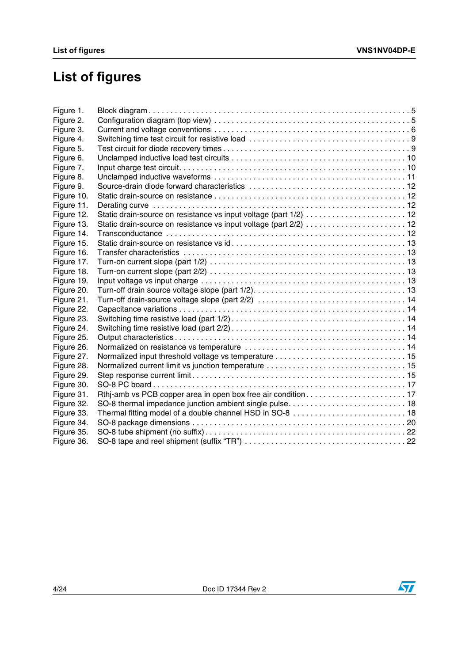# **List of figures**

| Static drain-source on resistance vs input voltage (part 2/2)  12 |
|-------------------------------------------------------------------|
|                                                                   |
|                                                                   |
|                                                                   |
|                                                                   |
|                                                                   |
|                                                                   |
|                                                                   |
|                                                                   |
|                                                                   |
|                                                                   |
|                                                                   |
|                                                                   |
|                                                                   |
|                                                                   |
|                                                                   |
|                                                                   |
|                                                                   |
|                                                                   |
|                                                                   |
|                                                                   |
|                                                                   |
|                                                                   |
|                                                                   |
|                                                                   |

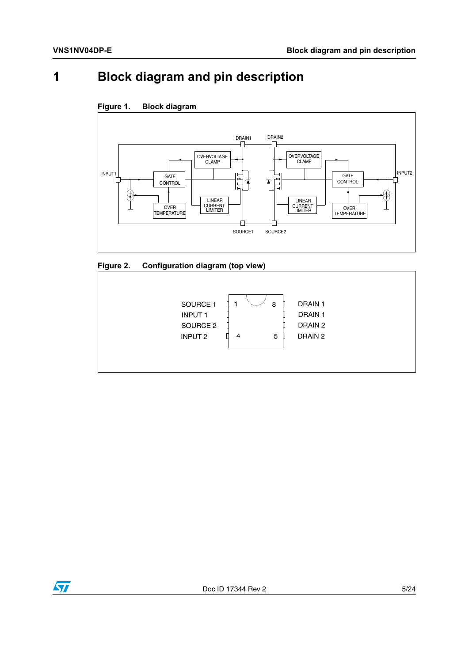# <span id="page-4-0"></span>**1 Block diagram and pin description**



### <span id="page-4-1"></span>**Figure 1. Block diagram**

<span id="page-4-2"></span>



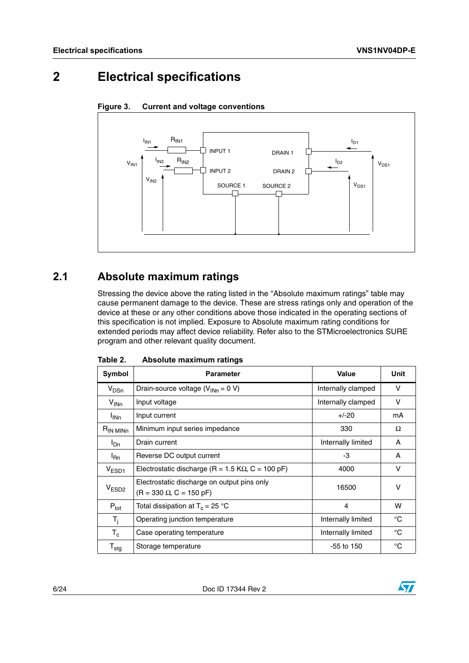# <span id="page-5-0"></span>**2 Electrical specifications**



<span id="page-5-3"></span>

## <span id="page-5-1"></span>**2.1 Absolute maximum ratings**

Stressing the device above the rating listed in the "Absolute maximum ratings" table may cause permanent damage to the device. These are stress ratings only and operation of the device at these or any other conditions above those indicated in the operating sections of this specification is not implied. Exposure to Absolute maximum rating conditions for extended periods may affect device reliability. Refer also to the STMicroelectronics SURE program and other relevant quality document.

| Symbol                      | <b>Parameter</b>                                                              | <b>Value</b>       | Unit        |
|-----------------------------|-------------------------------------------------------------------------------|--------------------|-------------|
| $V_{DSn}$                   | Drain-source voltage $(V_{INn} = 0 V)$                                        | Internally clamped | $\vee$      |
| $V_{INn}$                   | Input voltage                                                                 | Internally clamped | v           |
| I <sub>INn</sub>            | Input current                                                                 | $+/-20$            | mA          |
| $R_{IN\,MINn}$              | Minimum input series impedance                                                | 330                | Ω           |
| $I_{\text{Dn}}$             | Drain current                                                                 | Internally limited | A           |
| $I_{\mathsf{Rn}}$           | Reverse DC output current                                                     | -3                 | A           |
| $V_{ESD1}$                  | Electrostatic discharge (R = 1.5 K $\Omega$ , C = 100 pF)                     | 4000               | v           |
| V <sub>ESD2</sub>           | Electrostatic discharge on output pins only<br>$(R = 330 \Omega, C = 150 pF)$ | 16500              | ν           |
| $P_{\text{tot}}$            | Total dissipation at $T_c = 25 °C$                                            | 4                  | w           |
| $T_i$                       | Operating junction temperature                                                | Internally limited | $^{\circ}C$ |
| $T_c$                       | Case operating temperature                                                    | Internally limited | $^{\circ}C$ |
| $\mathsf{T}_{\textsf{stg}}$ | Storage temperature                                                           | $-55$ to 150       | $^{\circ}C$ |

<span id="page-5-2"></span>

| Table 2. | Absolute maximum ratings |  |
|----------|--------------------------|--|
|          |                          |  |

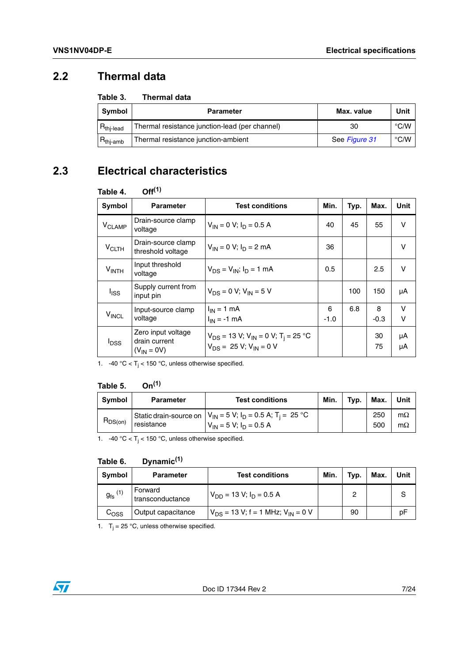## <span id="page-6-0"></span>**2.2 Thermal data**

#### <span id="page-6-2"></span>Table 3. **Thermal data**

| Symbol               | <b>Parameter</b>                               | Max. value    | Unit               |
|----------------------|------------------------------------------------|---------------|--------------------|
| $R_{thi$ -lead       | Thermal resistance junction-lead (per channel) | 30            | $\degree$ C/W      |
| $R_{\text{thi-amb}}$ | Thermal resistance junction-ambient            | See Figure 31 | $\rm ^{\circ}$ C/W |

## <span id="page-6-1"></span>**2.3 Electrical characteristics**

### <span id="page-6-3"></span>**Table 4. Off(1)**

| <b>Symbol</b>           | <b>Parameter</b>                                       | <b>Test conditions</b>                                                                                   | Min.        | Typ. | Max.        | Unit        |
|-------------------------|--------------------------------------------------------|----------------------------------------------------------------------------------------------------------|-------------|------|-------------|-------------|
| V <sub>CLAMP</sub>      | Drain-source clamp<br>voltage                          | $V_{IN} = 0 V$ ; $I_D = 0.5 A$                                                                           | 40          | 45   | 55          | v           |
| <b>V<sub>CLTH</sub></b> | Drain-source clamp<br>threshold voltage                | $V_{IN} = 0 V$ ; $I_D = 2 mA$                                                                            | 36          |      |             | v           |
| $V_{\text{INTH}}$       | Input threshold<br>voltage                             | $V_{DS} = V_{IN}$ ; $I_D = 1$ mA                                                                         | 0.5         |      | 2.5         | v           |
| l <sub>ISS</sub>        | Supply current from<br>input pin                       | $V_{DS} = 0 V$ ; $V_{IN} = 5 V$                                                                          |             | 100  | 150         | μA          |
| $V_{INCL}$              | Input-source clamp<br>voltage                          | $I_{IN} = 1$ mA<br>$I_{IN} = -1$ mA                                                                      | 6<br>$-1.0$ | 6.8  | 8<br>$-0.3$ | $\vee$<br>v |
| <sup>l</sup> DSS        | Zero input voltage<br>drain current<br>$(V_{IN} = 0V)$ | $V_{DS}$ = 13 V; V <sub>IN</sub> = 0 V; T <sub>i</sub> = 25 °C<br>$V_{DS}$ = 25 V; V <sub>IN</sub> = 0 V |             |      | 30<br>75    | μA<br>μA    |

1. -40 °C <  $T_i$  < 150 °C, unless otherwise specified.

### <span id="page-6-4"></span>**Table 5. On(1)**

| Symbol        | <b>Parameter</b> | <b>Test conditions</b>                                                                                            | Min. | Typ. | Max.       | Unit                   |
|---------------|------------------|-------------------------------------------------------------------------------------------------------------------|------|------|------------|------------------------|
| $\neg$ DS(on) | resistance       | Static drain-source on $ V_{IN} = 5 V$ ; $I_D = 0.5 A$ ; T <sub>i</sub> = 25 °C<br>$V_{1N} = 5 V$ ; $I_D = 0.5 A$ |      |      | 250<br>500 | $m\Omega$<br>$m\Omega$ |

1. -40 °C <  $T_j$  < 150 °C, unless otherwise specified.

#### <span id="page-6-5"></span>Table 6. **Table 6. Dynamic(1)**

| Symbol                | <b>Parameter</b>            | <b>Test conditions</b>                            | Min. | Typ. | Max. | Unit |
|-----------------------|-----------------------------|---------------------------------------------------|------|------|------|------|
| $g_{\text{fs}}^{(1)}$ | Forward<br>transconductance | $V_{DD}$ = 13 V; $I_D$ = 0.5 A                    |      | っ    |      | S    |
| $\mathtt{C_{OSS}}$    | Output capacitance          | $V_{DS}$ = 13 V; f = 1 MHz; V <sub>IN</sub> = 0 V |      | 90   |      | рF   |

1.  $T_j = 25$  °C, unless otherwise specified.

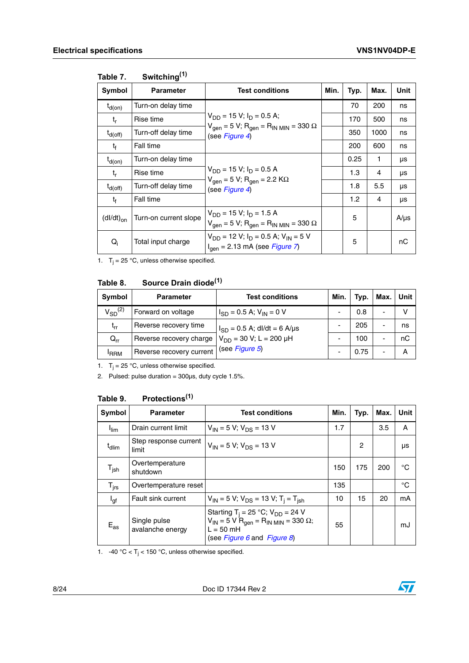| Symbol         | <b>Parameter</b>      | <b>Test conditions</b>                                                                                                    | Min. | Typ. | Max.         | Unit      |
|----------------|-----------------------|---------------------------------------------------------------------------------------------------------------------------|------|------|--------------|-----------|
| $t_{d(on)}$    | Turn-on delay time    |                                                                                                                           |      | 70   | 200          | ns        |
| t,             | Rise time             | $V_{DD}$ = 15 V; $I_D$ = 0.5 A;                                                                                           |      | 170  | 500          | ns        |
| $t_{d(off)}$   | Turn-off delay time   | $V_{\text{gen}} = 5 V$ ; R <sub>gen</sub> = R <sub>IN MIN</sub> = 330 $\Omega$<br>(see Figure 4)                          |      | 350  | 1000         | ns        |
| t <sub>f</sub> | Fall time             |                                                                                                                           |      | 200  | 600          | ns        |
| $t_{d(on)}$    | Turn-on delay time    | $V_{DD}$ = 15 V; $I_D$ = 0.5 A<br>$V_{gen} = 5 V$ ; R <sub>gen</sub> = 2.2 KΩ<br>(see Figure 4)                           |      | 0.25 | $\mathbf{1}$ | μs        |
| $t_{r}$        | Rise time             |                                                                                                                           |      | 1.3  | 4            | μs        |
| $t_{d(off)}$   | Turn-off delay time   |                                                                                                                           |      | 1.8  | 5.5          | μs        |
| t <sub>f</sub> | Fall time             |                                                                                                                           |      | 1.2  | 4            | μs        |
| $(dI/dt)_{on}$ | Turn-on current slope | $V_{DD}$ = 15 V; I <sub>D</sub> = 1.5 A<br>$V_{\text{gen}} = 5 V$ ; R <sub>gen</sub> = R <sub>IN MIN</sub> = 330 $\Omega$ |      | 5    |              | $A/\mu s$ |
| $Q_i$          | Total input charge    | $V_{DD}$ = 12 V; $I_D$ = 0.5 A; $V_{IN}$ = 5 V<br>$I_{\text{gen}} = 2.13 \text{ mA}$ (see <i>Figure 7</i> )               |      | 5    |              | nC        |

#### <span id="page-7-0"></span>Table 7. Switching<sup>(1)</sup>

1.  $T_j = 25$  °C, unless otherwise specified.

#### <span id="page-7-1"></span>Table 8. **Source Drain diode**<sup>(1)</sup>

| Symbol           | <b>Parameter</b>         | <b>Test conditions</b>           | Min. | Typ. | Max. | Unit |
|------------------|--------------------------|----------------------------------|------|------|------|------|
| $V_{SD}^{(2)}$   | Forward on voltage       | $I_{SD}$ = 0.5 A; $V_{IN}$ = 0 V |      | 0.8  |      | v    |
| $t_{rr}$         | Reverse recovery time    | $I_{SD} = 0.5$ A; dl/dt = 6 A/µs |      | 205  | -    | ns   |
| $Q_{rr}$         | Reverse recovery charge  | $V_{DD}$ = 30 V; L = 200 µH      |      | 100  |      | nС   |
| <sup>I</sup> RRM | Reverse recovery current | (see Figure 5)                   |      | 0.75 |      | А    |

1.  $T_j = 25$  °C, unless otherwise specified.

2. Pulsed: pulse duration =  $300\mu s$ , duty cycle  $1.5\%$ .

#### <span id="page-7-2"></span>Table 9. **Table 9. Protections(1)**

| Symbol            | <b>Parameter</b>                 | <b>Test conditions</b>                                                                                                                                                   | Min. | Typ. | Max. | Unit |
|-------------------|----------------------------------|--------------------------------------------------------------------------------------------------------------------------------------------------------------------------|------|------|------|------|
| $I_{\text{lim}}$  | Drain current limit              | $V_{IN}$ = 5 V; $V_{DS}$ = 13 V                                                                                                                                          | 1.7  |      | 3.5  | A    |
| $t_{\text{dlim}}$ | Step response current<br>limit   | $V_{1N}$ = 5 V; $V_{DS}$ = 13 V                                                                                                                                          |      | 2    |      | μs   |
| $T_{\sf jsh}$     | Overtemperature<br>shutdown      |                                                                                                                                                                          | 150  | 175  | 200  | °C   |
| $T_{\text{irs}}$  | Overtemperature reset            |                                                                                                                                                                          | 135  |      |      | °C   |
| l <sub>gf</sub>   | Fault sink current               | $V_{1N}$ = 5 V; V <sub>DS</sub> = 13 V; T <sub>i</sub> = T <sub>ish</sub>                                                                                                | 10   | 15   | 20   | mA   |
| $E_{as}$          | Single pulse<br>avalanche energy | Starting T <sub>i</sub> = 25 °C; $V_{DD}$ = 24 V<br>$V_{IN}$ = 5 V R <sub>gen</sub> = R <sub>IN MIN</sub> = 330 $\Omega$ ;<br>$L = 50$ mH<br>(see Figure 6 and Figure 8) | 55   |      |      | mJ   |

1.  $-40\text{ °C} < T_j < 150\text{ °C}$ , unless otherwise specified.

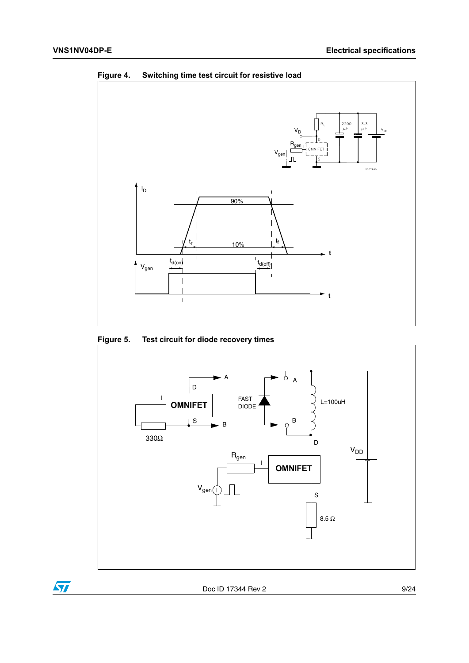

<span id="page-8-0"></span>**Figure 4. Switching time test circuit for resistive load**

<span id="page-8-1"></span>**Figure 5. Test circuit for diode recovery times**



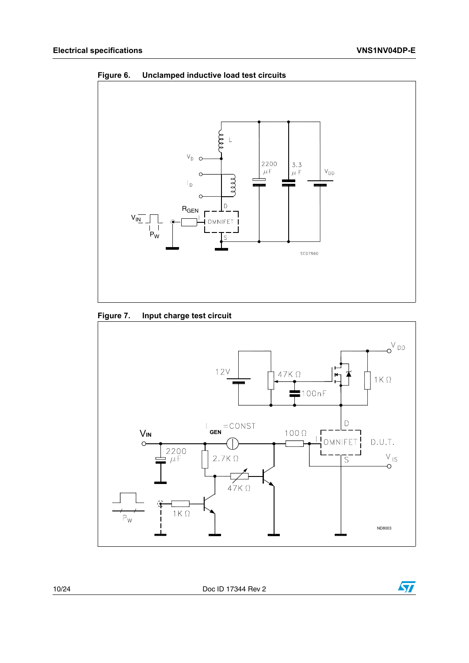<span id="page-9-0"></span>



### <span id="page-9-1"></span>**Figure 7. Input charge test circuit**



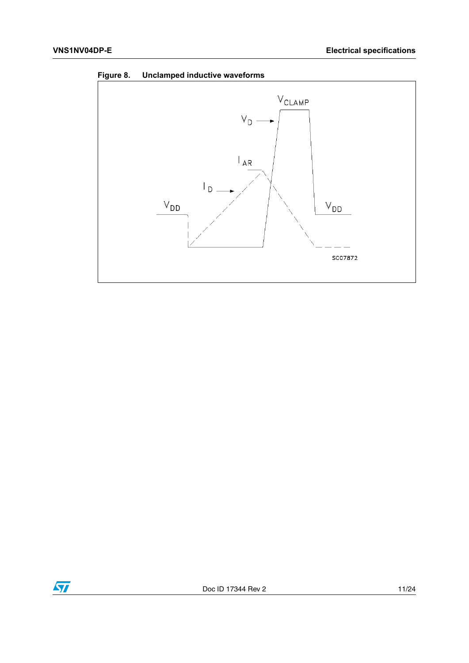<span id="page-10-0"></span>



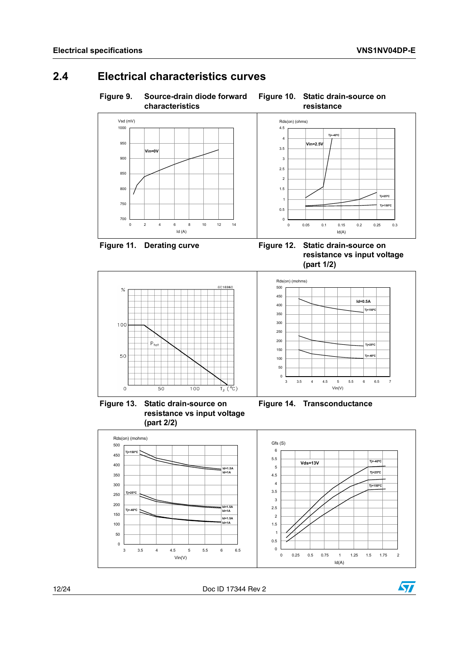## <span id="page-11-0"></span>**2.4 Electrical characteristics curves**



<span id="page-11-1"></span>**Figure 9. Source-drain diode forward characteristics**

# <span id="page-11-2"></span>**Figure 10. Static drain-source on**



<span id="page-11-3"></span>

**Vin=0V**

<span id="page-11-4"></span>**resistance vs input voltage (part 1/2)**



0 2 4 6 8 10 12 14 Id (A)

3 3.5 4 4.5 5 5.5 6 6.5 7 Vin(V)  $\overline{0}$ 50 100 150 200 250 300 350 400 **Id=0.5A Tj=150ºC Tj=-40 Tj=25ºC**

<span id="page-11-5"></span>**Figure 13. Static drain-source on resistance vs input voltage (part 2/2)**

<span id="page-11-6"></span>

450 500 Rds(on) (mohms)





12/24 Doc ID 17344 Rev 2

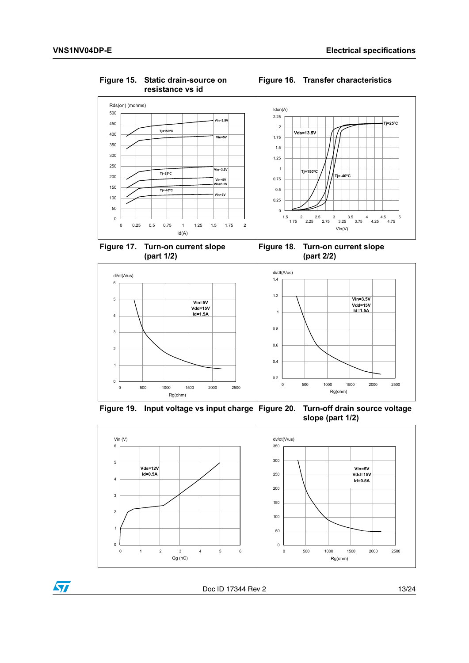$\sqrt{2}$ 



<span id="page-12-0"></span>**Figure 15. Static drain-source on** 

### <span id="page-12-1"></span>**Figure 16. Transfer characteristics**

<span id="page-12-2"></span>

<span id="page-12-3"></span>



<span id="page-12-5"></span>

<span id="page-12-4"></span>**Figure 19. Input voltage vs input charge Figure 20. Turn-off drain source voltage slope (part 1/2)**



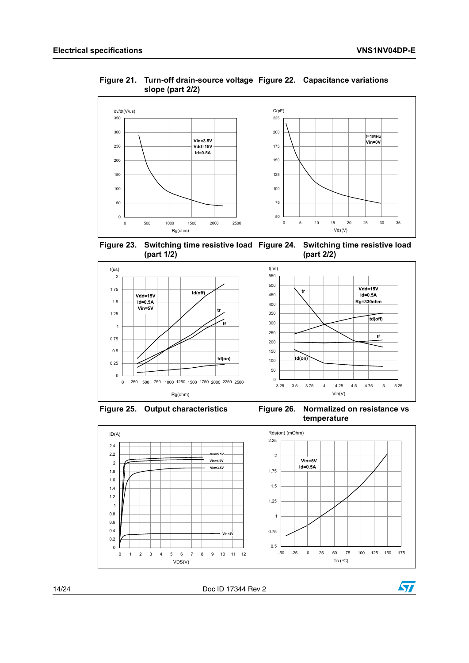<span id="page-13-1"></span>

### <span id="page-13-0"></span>**Figure 21. Turn-off drain-source voltage Figure 22. Capacitance variations slope (part 2/2)**

<span id="page-13-3"></span><span id="page-13-2"></span>**Figure 23. Switching time resistive load Figure 24. Switching time resistive load (part 1/2) (part 2/2)**



<span id="page-13-5"></span>

<span id="page-13-4"></span>



14/24 Doc ID 17344 Rev 2

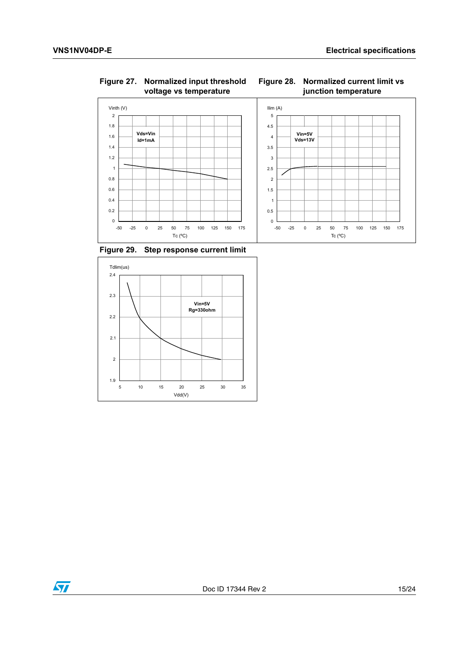

<span id="page-14-0"></span>**Figure 27. Normalized input threshold voltage vs temperature**

<span id="page-14-1"></span>

<span id="page-14-2"></span>



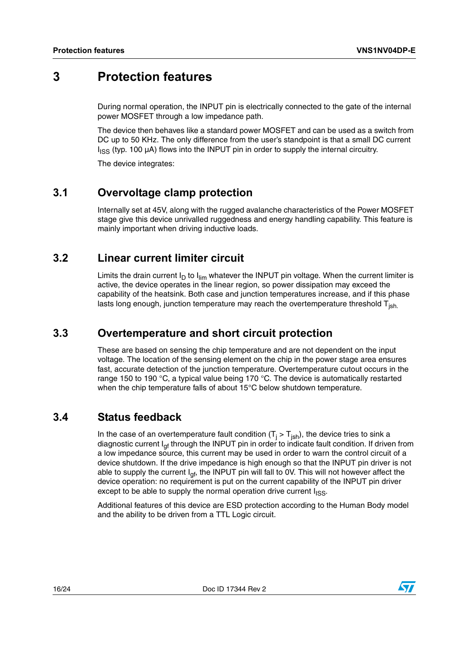## <span id="page-15-0"></span>**3 Protection features**

During normal operation, the INPUT pin is electrically connected to the gate of the internal power MOSFET through a low impedance path.

The device then behaves like a standard power MOSFET and can be used as a switch from DC up to 50 KHz. The only difference from the user's standpoint is that a small DC current  $I_{ISS}$  (typ. 100  $\mu$ A) flows into the INPUT pin in order to supply the internal circuitry.

The device integrates:

## <span id="page-15-1"></span>**3.1 Overvoltage clamp protection**

Internally set at 45V, along with the rugged avalanche characteristics of the Power MOSFET stage give this device unrivalled ruggedness and energy handling capability. This feature is mainly important when driving inductive loads.

### <span id="page-15-2"></span>**3.2 Linear current limiter circuit**

Limits the drain current  $I_D$  to  $I_{lim}$  whatever the INPUT pin voltage. When the current limiter is active, the device operates in the linear region, so power dissipation may exceed the capability of the heatsink. Both case and junction temperatures increase, and if this phase lasts long enough, junction temperature may reach the overtemperature threshold  $T_{ish}$ .

### <span id="page-15-3"></span>**3.3 Overtemperature and short circuit protection**

These are based on sensing the chip temperature and are not dependent on the input voltage. The location of the sensing element on the chip in the power stage area ensures fast, accurate detection of the junction temperature. Overtemperature cutout occurs in the range 150 to 190 °C, a typical value being 170 °C. The device is automatically restarted when the chip temperature falls of about 15°C below shutdown temperature.

### <span id="page-15-4"></span>**3.4 Status feedback**

In the case of an overtemperature fault condition (T<sub>j</sub> > T<sub>jsh</sub>), the device tries to sink a diagnostic current  $I<sub>of</sub>$  through the INPUT pin in order to indicate fault condition. If driven from a low impedance source, this current may be used in order to warn the control circuit of a device shutdown. If the drive impedance is high enough so that the INPUT pin driver is not able to supply the current  $I_{\text{qf}}$ , the INPUT pin will fall to 0V. This will not however affect the device operation: no requirement is put on the current capability of the INPUT pin driver except to be able to supply the normal operation drive current  $I_{ISS}$ .

Additional features of this device are ESD protection according to the Human Body model and the ability to be driven from a TTL Logic circuit.

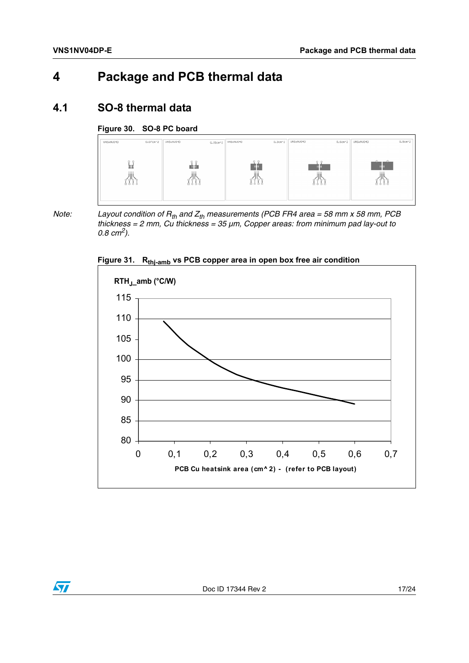# <span id="page-16-0"></span>**4 Package and PCB thermal data**

### <span id="page-16-1"></span>**4.1 SO-8 thermal data**

### <span id="page-16-2"></span>**Figure 30. SO-8 PC board**



*Note:* Layout condition of  $R_{th}$  and  $Z_{th}$  measurements (PCB FR4 area = 58 mm x 58 mm, PCB *thickness = 2 mm, Cu thickness = 35 µm, Copper areas: from minimum pad lay-out to 0.8 cm2).* 



<span id="page-16-3"></span>**Figure 31. Rthj-amb vs PCB copper area in open box free air condition**

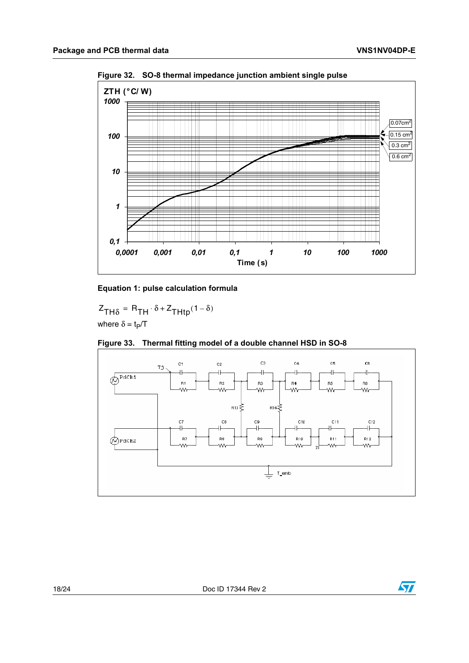<span id="page-17-0"></span>



#### **Equation 1: pulse calculation formula**

 $Z_{TH\delta} = R_{TH} \cdot \delta + Z_{THtp} (1 - \delta)$ where  $\delta = t_P/T$ 



### <span id="page-17-1"></span>**Figure 33. Thermal fitting model of a double channel HSD in SO-8**

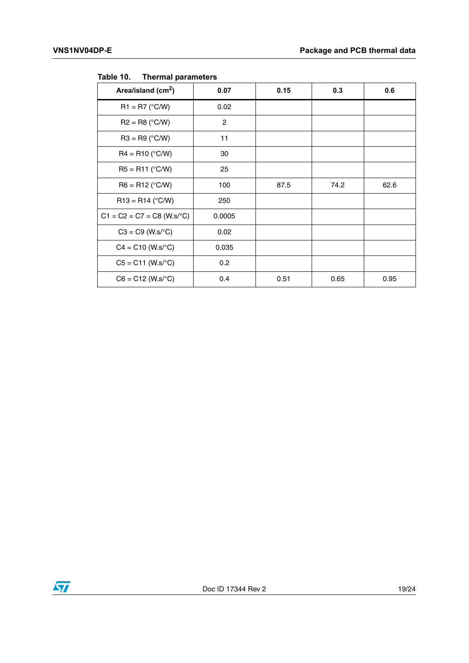| Area/island $(cm2)$          | 0.07           | 0.15 | 0.3  | 0.6  |
|------------------------------|----------------|------|------|------|
| $R1 = R7 (°C/W)$             | 0.02           |      |      |      |
| $R2 = R8$ (°C/W)             | $\overline{2}$ |      |      |      |
| $R3 = R9$ (°C/W)             | 11             |      |      |      |
| $R4 = R10 (°C/W)$            | 30             |      |      |      |
| $R5 = R11 (°C/W)$            | 25             |      |      |      |
| $R6 = R12$ (°C/W)            | 100            | 87.5 | 74.2 | 62.6 |
| $R13 = R14$ (°C/W)           | 250            |      |      |      |
| $C1 = C2 = C7 = C8$ (W.s/°C) | 0.0005         |      |      |      |
| $C3 = C9$ (W.s/°C)           | 0.02           |      |      |      |
| $C4 = C10 (W.s^{\circ}C)$    | 0.035          |      |      |      |
| $C5 = C11$ (W.s/°C)          | 0.2            |      |      |      |
| $C6 = C12$ (W.s/°C)          | 0.4            | 0.51 | 0.65 | 0.95 |

<span id="page-18-0"></span>Table 10. **Thermal parameters** 

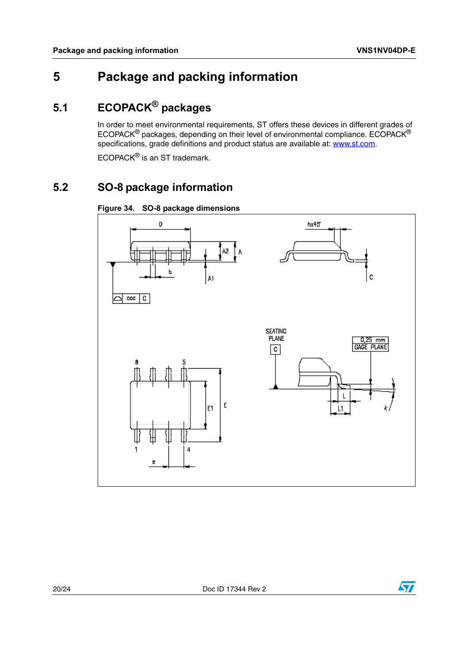# <span id="page-19-0"></span>**5 Package and packing information**

# <span id="page-19-1"></span>**5.1 ECOPACK® packages**

In order to meet environmental requirements, ST offers these devices in different grades of ECOPACK® packages, depending on their level of environmental compliance. ECOPACK® specifications, grade definitions and product status are available at: www.st.com.

ECOPACK® is an ST trademark.

## <span id="page-19-2"></span>**5.2 SO-8 package information**

<span id="page-19-3"></span>



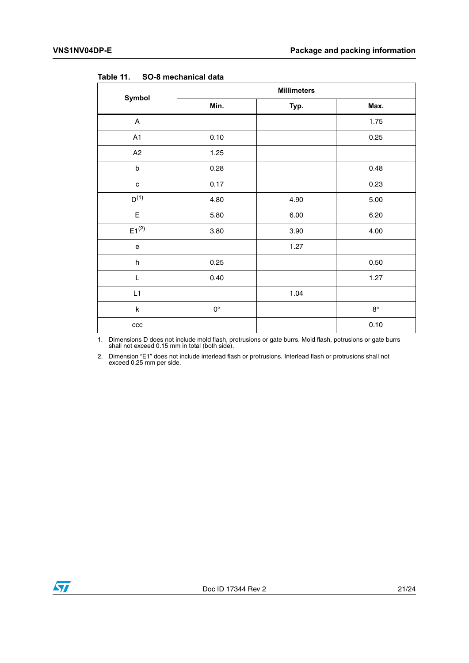|              | <b>Millimeters</b> |      |             |  |  |
|--------------|--------------------|------|-------------|--|--|
| Symbol       | Min.               | Typ. | Max.        |  |  |
| A            |                    |      | 1.75        |  |  |
| A1           | 0.10               |      | 0.25        |  |  |
| A2           | 1.25               |      |             |  |  |
| $\sf b$      | 0.28               |      | 0.48        |  |  |
| $\mathbf{C}$ | 0.17               |      | 0.23        |  |  |
| $D^{(1)}$    | 4.80               | 4.90 | 5.00        |  |  |
| E            | 5.80               | 6.00 | 6.20        |  |  |
| $E1^{(2)}$   | 3.80               | 3.90 | 4.00        |  |  |
| e            |                    | 1.27 |             |  |  |
| $\sf h$      | 0.25               |      | 0.50        |  |  |
| L            | 0.40               |      | 1.27        |  |  |
| L1           |                    | 1.04 |             |  |  |
| $\sf k$      | $\mathsf{O}^\circ$ |      | $8^{\circ}$ |  |  |
| $_{\rm ccc}$ |                    |      | 0.10        |  |  |

<span id="page-20-0"></span>Table 11 **Table 11. SO-8 mechanical data**

1. Dimensions D does not include mold flash, protrusions or gate burrs. Mold flash, potrusions or gate burrs shall not exceed 0.15 mm in total (both side).

2. Dimension "E1" does not include interlead flash or protrusions. Interlead flash or protrusions shall not exceed 0.25 mm per side.

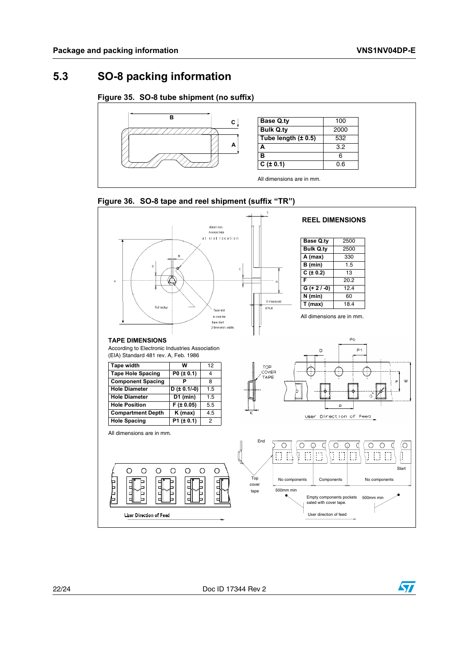### <span id="page-21-0"></span>**5.3 SO-8 packing information**

### <span id="page-21-1"></span>**Figure 35. SO-8 tube shipment (no suffix)**





<span id="page-21-2"></span>

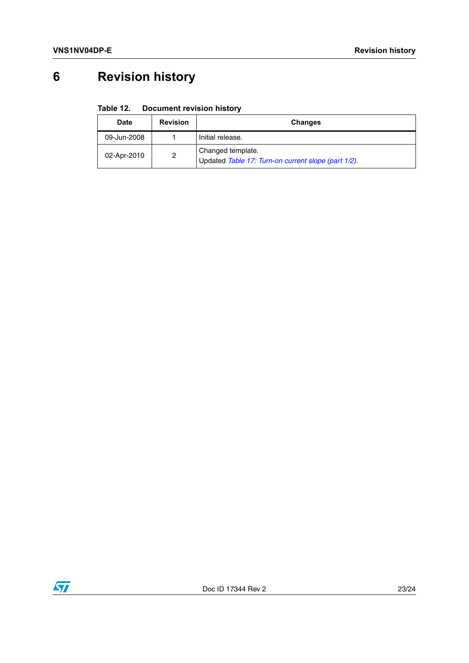# <span id="page-22-0"></span>**6 Revision history**

#### <span id="page-22-1"></span>Table 12. **Document revision history**

| <b>Date</b> | <b>Revision</b> | <b>Changes</b>                                                           |
|-------------|-----------------|--------------------------------------------------------------------------|
| 09-Jun-2008 |                 | Initial release.                                                         |
| 02-Apr-2010 | 2               | Changed template.<br>Updated Table 17: Turn-on current slope (part 1/2). |